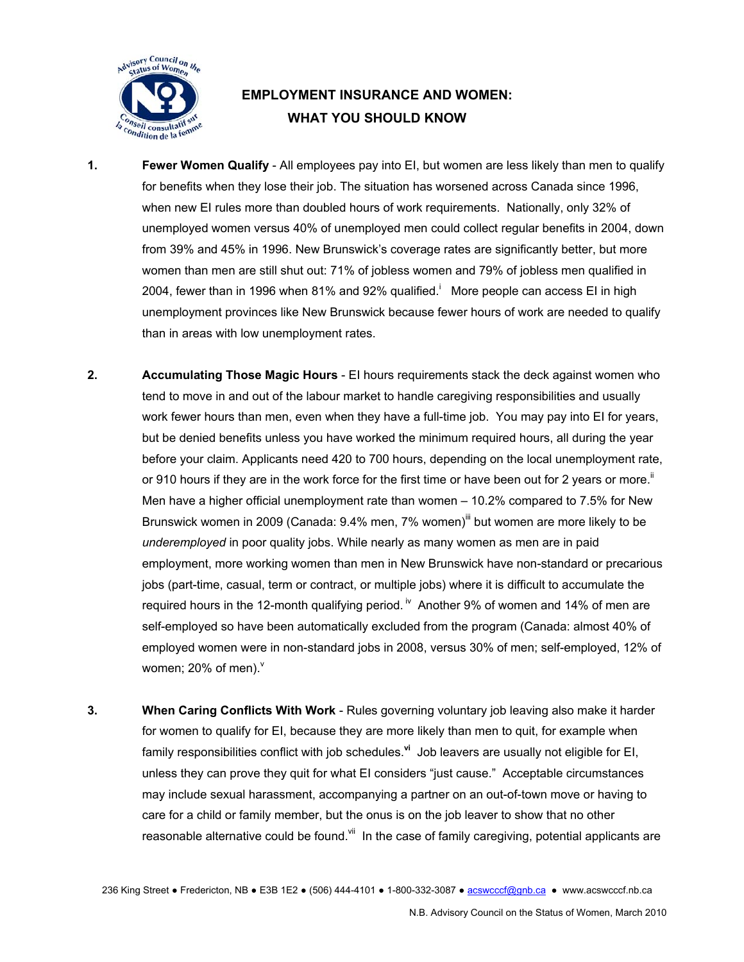

## **EMPLOYMENT INSURANCE AND WOMEN: WHAT YOU SHOULD KNOW**

- **1. Fewer Women Qualify** All employees pay into EI, but women are less likely than men to qualify for benefits when they lose their job. The situation has worsened across Canada since 1996, when new EI rules more than doubled hours of work requirements. Nationally, only 32% of unemployed women versus 40% of unemployed men could collect regular benefits in 2004, down from 39% and 45% in 1996. New Brunswick's coverage rates are significantly better, but more women than men are still shut out: 71% of jobless women and 79% of jobless men qualified in 2004, fewer than in 1996 when 81% and 92% qualified. More people can access EI in high unemployment provinces like New Brunswick because fewer hours of work are needed to qualify than in areas with low unemployment rates.
- **2. Accumulating Those Magic Hours** EI hours requirements stack the deck against women who tend to move in and out of the labour market to handle caregiving responsibilities and usually work fewer hours than men, even when they have a full-time job. You may pay into EI for years, but be denied benefits unless you have worked the minimum required hours, all during the year before your claim. Applicants need 420 to 700 hours, depending on the local unemployment rate, or 910 hours if they are in the work force for the first time or have been out for 2 years or more.<sup>ii</sup> Men have a higher official unemployment rate than women – 10.2% compared to 7.5% for New Brunswick women in 2009 (Canada: 9.4% men, 7% women)<sup>iii</sup> but women are more likely to be *underemployed* in poor quality jobs. While nearly as many women as men are in paid employment, more working women than men in New Brunswick have non-standard or precarious jobs (part-time, casual, term or contract, or multiple jobs) where it is difficult to accumulate the required hours in the 12-month qualifying period.  $\dot{N}$  Another 9% of women and 14% of men are self-employed so have been automatically excluded from the program (Canada: almost 40% of employed women were in non-standard jobs in 2008, versus 30% of men; self-employed, 12% of women; 20% of men). $^{\vee}$
- **3. When Caring Conflicts With Work** Rules governing voluntary job leaving also make it harder for women to qualify for EI, because they are more likely than men to quit, for example when family responsibilities conflict with job schedules.<sup>yi</sup> Job leavers are usually not eligible for EI, unless they can prove they quit for what EI considers "just cause." Acceptable circumstances may include sexual harassment, accompanying a partner on an out-of-town move or having to care for a child or family member, but the onus is on the job leaver to show that no other reasonable alternative could be found.<sup>vii</sup> In the case of family caregiving, potential applicants are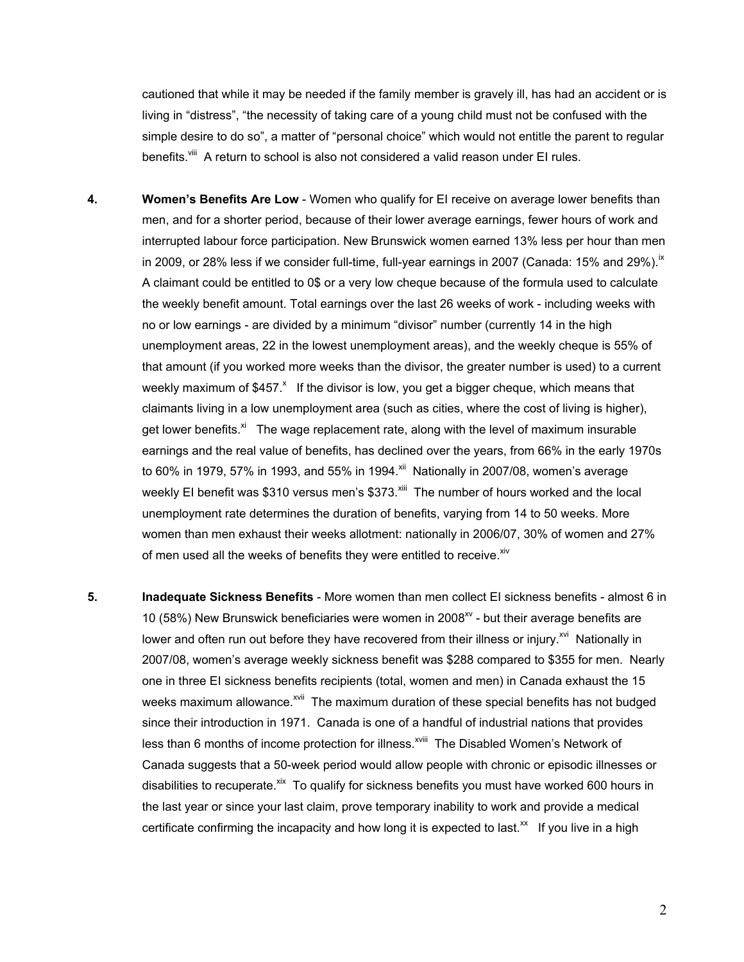cautioned that while it may be needed if the family member is gravely ill, has had an accident or is living in "distress", "the necessity of taking care of a young child must not be confused with the simple desire to do so", a matter of "personal choice" which would not entitle the parent to regular benefits.<sup>Viii</sup> A return to school is also not considered a valid reason under EI rules.

- **4.** Women's Benefits Are Low Women who qualify for EI receive on average lower benefits than men, and for a shorter period, because of their lower average earnings, fewer hours of work and interrupted labour force participation. New Brunswick women earned 13% less per hour than men in 2009, or 28% less if we consider full-time, full-year earnings in 2007 (Canada: 15% and 29%).<sup>ix</sup> A claimant could be entitled to 0\$ or a very low cheque because of the formula used to calculate the weekly benefit amount. Total earnings over the last 26 weeks of work - including weeks with no or low earnings - are divided by a minimum "divisor" number (currently 14 in the high unemployment areas, 22 in the lowest unemployment areas), and the weekly cheque is 55% of that amount (if you worked more weeks than the divisor, the greater number is used) to a current weekly maximum of \$457. $^{\text{x}}$  If the divisor is low, you get a bigger cheque, which means that claimants living in a low unemployment area (such as cities, where the cost of living is higher), get lower benefits.<sup>xi</sup> The wage replacement rate, along with the level of maximum insurable earnings and the real value of benefits, has declined over the years, from 66% in the early 1970s to 60% in 1979, 57% in 1993, and 55% in 1994. $^{xii}$  Nationally in 2007/08, women's average weekly EI benefit was \$310 versus men's \$373.<sup>xiii</sup> The number of hours worked and the local unemployment rate determines the duration of benefits, varying from 14 to 50 weeks. More women than men exhaust their weeks allotment: nationally in 2006/07, 30% of women and 27% of men used all the weeks of benefits they were entitled to receive. Xiv
- **5. Inadequate Sickness Benefits** More women than men collect EI sickness benefits almost 6 in 10 (58%) New Brunswick beneficiaries were women in 2008 $^{x}$  - but their average benefits are lower and often run out before they have recovered from their illness or injury.<sup> $xvi$ </sup> Nationally in 2007/08, women's average weekly sickness benefit was \$288 compared to \$355 for men. Nearly one in three EI sickness benefits recipients (total, women and men) in Canada exhaust the 15 weeks maximum allowance.<sup>xvii</sup> The maximum duration of these special benefits has not budged since their introduction in 1971. Canada is one of a handful of industrial nations that provides less than 6 months of income protection for illness.<sup>xviii</sup> The Disabled Women's Network of Canada suggests that a 50-week period would allow people with chronic or episodic illnesses or disabilities to recuperate.<sup>xix</sup> To qualify for sickness benefits you must have worked 600 hours in the last year or since your last claim, prove temporary inability to work and provide a medical certificate confirming the incapacity and how long it is expected to last. $^{x}$  If you live in a high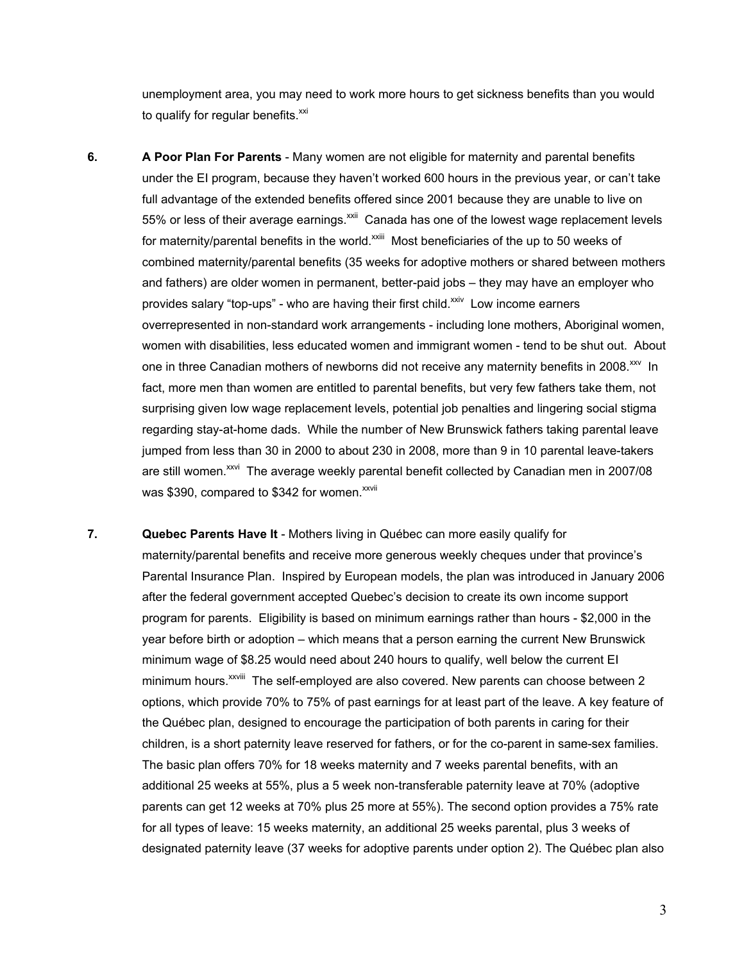unemployment area, you may need to work more hours to get sickness benefits than you would to qualify for regular benefits. $^{xxi}$ 

- **6. A Poor Plan For Parents** Many women are not eligible for maternity and parental benefits under the EI program, because they haven't worked 600 hours in the previous year, or can't take full advantage of the extended benefits offered since 2001 because they are unable to live on 55% or less of their average earnings.<sup>xxii</sup> Canada has one of the lowest wage replacement levels for maternity/parental benefits in the world.<sup>xxiii</sup> Most beneficiaries of the up to 50 weeks of combined maternity/parental benefits (35 weeks for adoptive mothers or shared between mothers and fathers) are older women in permanent, better-paid jobs – they may have an employer who provides salary "top-ups" - who are having their first child. $x^{\text{xiv}}$  Low income earners overrepresented in non-standard work arrangements - including lone mothers, Aboriginal women, women with disabilities, less educated women and immigrant women - tend to be shut out. About one in three Canadian mothers of newborns did not receive any maternity benefits in 2008.<sup>xxv</sup> In fact, more men than women are entitled to parental benefits, but very few fathers take them, not surprising given low wage replacement levels, potential job penalties and lingering social stigma regarding stay-at-home dads. While the number of New Brunswick fathers taking parental leave jumped from less than 30 in 2000 to about 230 in 2008, more than 9 in 10 parental leave-takers are still women.<sup>xxvi</sup> The average weekly parental benefit collected by Canadian men in 2007/08 was \$390, compared to \$342 for women.<sup>xxvii</sup>
- **7. Quebec Parents Have It** Mothers living in Québec can more easily qualify for maternity/parental benefits and receive more generous weekly cheques under that province's Parental Insurance Plan. Inspired by European models, the plan was introduced in January 2006 after the federal government accepted Quebec's decision to create its own income support program for parents. Eligibility is based on minimum earnings rather than hours - \$2,000 in the year before birth or adoption – which means that a person earning the current New Brunswick minimum wage of \$8.25 would need about 240 hours to qualify, well below the current EI minimum hours.<sup>xxviii</sup> The self-employed are also covered. New parents can choose between 2 options, which provide 70% to 75% of past earnings for at least part of the leave. A key feature of the Québec plan, designed to encourage the participation of both parents in caring for their children, is a short paternity leave reserved for fathers, or for the co-parent in same-sex families. The basic plan offers 70% for 18 weeks maternity and 7 weeks parental benefits, with an additional 25 weeks at 55%, plus a 5 week non-transferable paternity leave at 70% (adoptive parents can get 12 weeks at 70% plus 25 more at 55%). The second option provides a 75% rate for all types of leave: 15 weeks maternity, an additional 25 weeks parental, plus 3 weeks of designated paternity leave (37 weeks for adoptive parents under option 2). The Québec plan also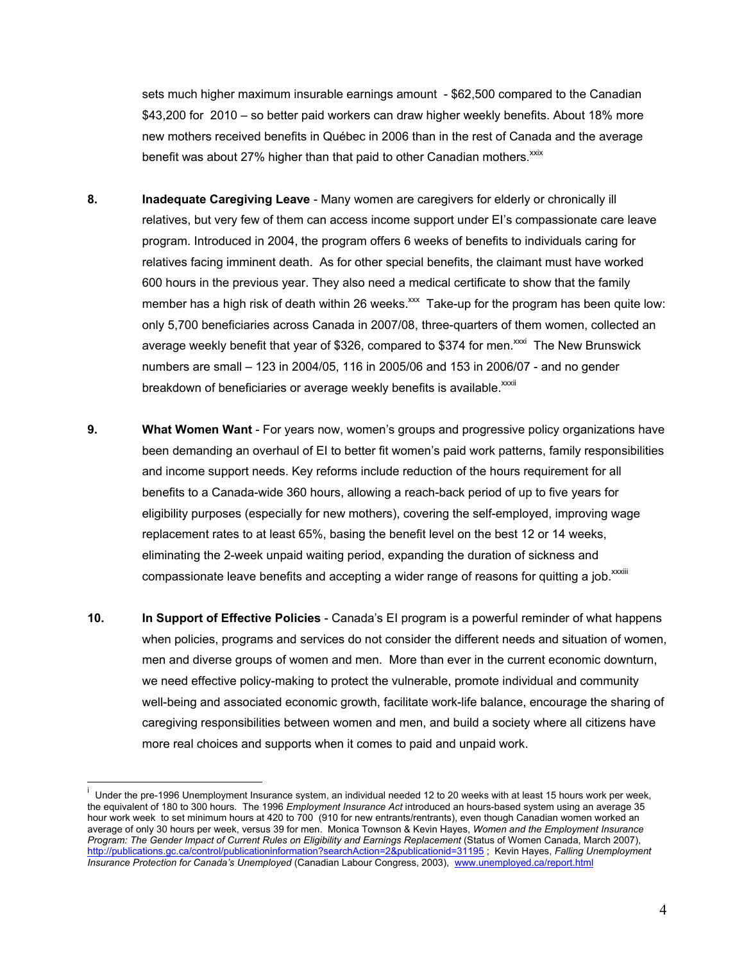sets much higher maximum insurable earnings amount - \$62,500 compared to the Canadian \$43,200 for 2010 – so better paid workers can draw higher weekly benefits. About 18% more new mothers received benefits in Québec in 2006 than in the rest of Canada and the average benefit was about 27% higher than that paid to other Canadian mothers. $x_{xx}$ 

- **8. Inadequate Caregiving Leave** Many women are caregivers for elderly or chronically ill relatives, but very few of them can access income support under EI's compassionate care leave program. Introduced in 2004, the program offers 6 weeks of benefits to individuals caring for relatives facing imminent death. As for other special benefits, the claimant must have worked 600 hours in the previous year. They also need a medical certificate to show that the family member has a high risk of death within 26 weeks. $\frac{1}{x}$  Take-up for the program has been quite low: only 5,700 beneficiaries across Canada in 2007/08, three-quarters of them women, collected an average weekly benefit that year of \$326, compared to \$374 for men.<sup>xxxi</sup> The New Brunswick numbers are small – 123 in 2004/05, 116 in 2005/06 and 153 in 2006/07 - and no gender breakdown of beneficiaries or average weekly benefits is available.<sup>xxxii</sup>
- **9. What Women Want** For years now, women's groups and progressive policy organizations have been demanding an overhaul of EI to better fit women's paid work patterns, family responsibilities and income support needs. Key reforms include reduction of the hours requirement for all benefits to a Canada-wide 360 hours, allowing a reach-back period of up to five years for eligibility purposes (especially for new mothers), covering the self-employed, improving wage replacement rates to at least 65%, basing the benefit level on the best 12 or 14 weeks, eliminating the 2-week unpaid waiting period, expanding the duration of sickness and compassionate leave benefits and accepting a wider range of reasons for quitting a job.<sup>xxxiii</sup>
- **10. In Support of Effective Policies** Canada's EI program is a powerful reminder of what happens when policies, programs and services do not consider the different needs and situation of women, men and diverse groups of women and men. More than ever in the current economic downturn, we need effective policy-making to protect the vulnerable, promote individual and community well-being and associated economic growth, facilitate work-life balance, encourage the sharing of caregiving responsibilities between women and men, and build a society where all citizens have more real choices and supports when it comes to paid and unpaid work.

 $\overline{a}$ 

i Under the pre-1996 Unemployment Insurance system, an individual needed 12 to 20 weeks with at least 15 hours work per week, the equivalent of 180 to 300 hours. The 1996 *Employment Insurance Act* introduced an hours-based system using an average 35 hour work week to set minimum hours at 420 to 700 (910 for new entrants/rentrants), even though Canadian women worked an average of only 30 hours per week, versus 39 for men. Monica Townson & Kevin Hayes, *Women and the Employment Insurance Program: The Gender Impact of Current Rules on Eligibility and Earnings Replacement* (Status of Women Canada, March 2007), http://publications.gc.ca/control/publicationinformation?searchAction=2&publicationid=31195 ; Kevin Hayes, *Falling Unemployment Insurance Protection for Canada's Unemployed* (Canadian Labour Congress, 2003), www.unemployed.ca/report.html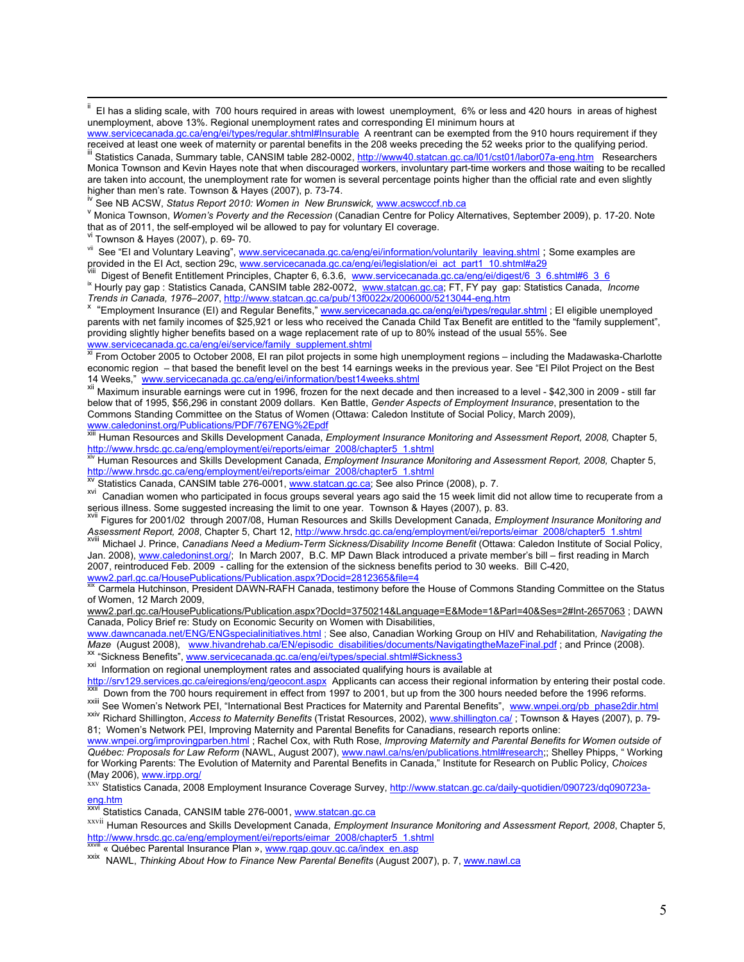EI has a sliding scale, with 700 hours required in areas with lowest unemployment, 6% or less and 420 hours in areas of highest unemployment, above 13%. Regional unemployment rates and corresponding EI minimum hours at

higher than men's rate. Townson & Hayes (2007), p. 73-74.<br><sup>Iv</sup> See NB ACSW, *Status Report 2010: Women in New Brunswick*, www.acswcccf.nb.ca

victor Castus Reports Numen is Poverty and the Recession (Canadian Centre for Policy Alternatives, September 2009), p. 17-20. Note that as of 2011, the self-employed wil be allowed to pay for voluntary EI coverage.

 $\frac{v_i}{\sqrt{2}}$  Townson & Hayes (2007), p. 69- 70.

vii See "EI and Voluntary Leaving", www.servicecanada.gc.ca/eng/ei/information/voluntarily\_leaving.shtml ; Some examples are<br>provided in the EI Act, section 29c, www.servicecanada.gc.ca/eng/ei/legislation/ei act\_part1\_10.s

Vill Digest of Benefit Entitlement Principles, Chapter 6, 6.3.6, www.servicecanada.gc.ca/eng/ei/digest/6 3 6.shtml#6 3 6<br>
K Hourly pay gap : Statistics Canada, CANSIM table 282-0072, www.statcan.gc.ca; FT, FY pay gap: Stat *Trends in Canada, 1976–2007*, http://www.statcan.gc.ca/pub/13f0022x/2006000/5213044-eng.htm <sup>x</sup>

<sup>x</sup> "Employment Insurance (EI) and Regular Benefits," www.servicecanada.gc.ca/eng/ei/types/regular.shtml; EI eligible unemployed parents with net family incomes of \$25,921 or less who received the Canada Child Tax Benefit are entitled to the "family supplement", providing slightly higher benefits based on a wage replacement rate of up to 80% instead of the usual 55%. See www.servicecanada.gc.ca/eng/ei/service/family\_supplement.shtml<br><sup>Xi</sup> From October 2005 to October 2008, EI ran pilot projects in some high unemployment regions – including the Madawaska-Charlotte

economic region – that based the benefit level on the best 14 earnings weeks in the previous year. See "EI Pilot Project on the Best 14 Weeks," www.servicecanada.gc.ca/eng/ei/information/best14weeks.shtml

<sup>11</sup> Maximum insurable earnings were cut in 1996, frozen for the next decade and then increased to a level - \$42,300 in 2009 - still far below that of 1995, \$56,296 in constant 2009 dollars. Ken Battle, *Gender Aspects of Employment Insurance*, presentation to the Commons Standing Committee on the Status of Women (Ottawa: Caledon Institute of Social Policy, March 2009),<br>WWW.caledoninst.org/Publications/PDF/767ENG%2Epdf<br>WWW.caledoninst.org/Publications/PDF/767ENG%2Epdf

Human Resources and Skills Development Canada, *Employment Insurance Monitoring and Assessment Report, 2008*, Chapter 5,

http://www.hrsdc.gc.ca/eng/employment/ei/reports/eimar\_2008/chapter5\_1.shtml<br><sup>xiv</sup> Human Resources and Skills Development Canada, *Employment Insurance Monitoring and Assessment Report, 2008,* Chapter 5,

http://www.hrsdc.gc.ca/eng/employment/ei/reports/eimar\_2008/chapter5\_1.shtml<br><sup>XV</sup> Statistics Canada, CANSIM table 276-0001, <u>www.statcan.gc.ca;</u> See also Prince (2008), p. 7.<br><sup>XVI</sup> Canadian women who participated in focus serious illness. Some suggested increasing the limit to one year. Townson & Hayes (2007), p. 83.<br><sup>XVII</sup> Figures for 2001/02 through 2007/08, Human Resources and Skills Development Canada, *Employment Insurance Monitoring a* 

Assessment Report, 2008, Chapter 5, Chart 12, http://www.hrsdc.gc.ca/eng/employment/ei/reports/eimar\_2008/chapter5\_1.shtml<br><sup>XVIII</sup> Michael J. Prince, Canadians Need a Medium-Term Sickness/Disability Income Benefit (Ottawa:

Jan. 2008), www.caledoninst.org/; In March 2007, B.C. MP Dawn Black introduced a private member's bill – first reading in March 2007, reintroduced Feb. 2009 - calling for the extension of the sickness benefits period to 30 weeks. Bill C-420,

www2.parl.gc.ca/HousePublications/Publication.aspx?Docid=2812365&file=4<br><sup>xix</sup> Carmela Hutchinson, President DAWN-RAFH Canada, testimony before the House of Commons Standing Committee on the Status of Women, 12 March 2009,

www2.parl.gc.ca/HousePublications/Publication.aspx?DocId=3750214&Language=E&Mode=1&Parl=40&Ses=2#Int-2657063 ; DAWN Canada, Policy Brief re: Study on Economic Security on Women with Disabilities,

www.dawncanada.net/ENG/ENGspecialinitiatives.html ; See also, Canadian Working Group on HIV and Rehabilitation, Navigating the *Maze* (August 2008). www.hivandrehab.ca/EN/episodic disabilities/documents/NavigatingtheMazeFi

xx "Sickness Benefits", www.servicecanada.gc.ca/eng/ei/types/special.shtml#Sickness3<br>xxi Information on regional unemployment rates and associated qualifying hours is available at<br>http://srv129.services.gc.ca/eiregions/eng <sup>XXII</sup> Down from the 700 hours requirement in effect from 1997 to 2001, but up from the 300 hours needed before the 1996 reforms.<br><sup>XXIII</sup> See Women's Network PEI, "International Best Practices for Maternity and Parental Be

81; Women's Network PEI, Improving Maternity and Parental Benefits for Canadians, research reports online:

www.wnpei.org/improvingparben.html ; Rachel Cox, with Ruth Rose, *Improving Maternity and Parental Benefits for Women outside of Québec: Proposals for Law Reform* (NAWL, August 2007), www.nawl.ca/ns/en/publications.html#research;; Shelley Phipps, " Working for Working Parents: The Evolution of Maternity and Parental Benefits in Canada," Institute for Research on Public Policy, *Choices*

(May 2006), <u>www.irpp.org/</u><br><sup>xxv</sup> Statistics Canada, 2008 Employment Insurance Coverage Survey, <u>http://www.statcan.gc.ca/daily-quotidien/090723/dq090723a-</u> eng.htm

Statistics Canada, CANSIM table 276-0001, www.statcan.gc.ca

xxvii Human Resources and Skills Development Canada, *Employment Insurance Monitoring and Assessment Report, 2008*, Chapter 5, http://www.hrsdc.gc.ca/eng/employment/ei/reports/eimar\_2008/chapter5\_1.shtml<br>xxviii « Québec Parental Insurance Plan », www.rgap.gouv.gc.ca/index\_en.asp

<sup>xxix</sup> NAWL. *Thinking About How to Finance New Parental Benefits* (August 2007), p. 7, www.nawl.ca

www.servicecanada.gc.ca/eng/ei/types/regular.shtml#Insurable A reentrant can be exempted from the 910 hours requirement if they received at least one week of maternity or parental benefits in the 208 weeks preceding the 52 weeks prior to the qualifying period.<br>If Statistics Canada, Summary table, CANSIM table 282-0002, http://www40.statcan.gc.ca/l0 Monica Townson and Kevin Hayes note that when discouraged workers, involuntary part-time workers and those waiting to be recalled are taken into account, the unemployment rate for women is several percentage points higher than the official rate and even slightly